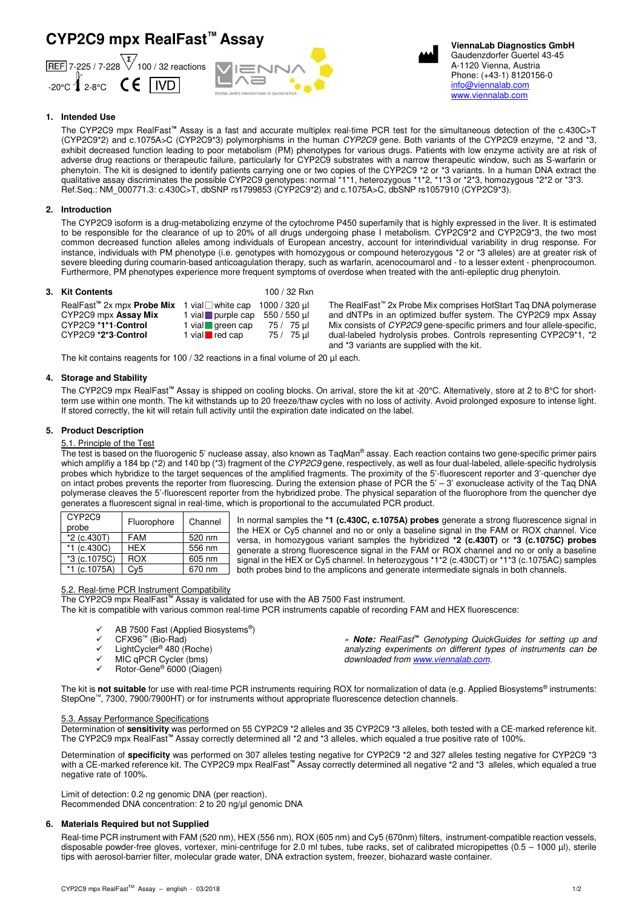# **CYP2C9 mpx RealFast™ Assay**







 **ViennaLab Diagnostics GmbH** Gaudenzdorfer Guertel 43-45 A-1120 Vienna, Austria Phone: (+43-1) 8120156-0 info@viennalab.com www.viennalab.com

# **1. Intended Use**

The CYP2C9 mpx RealFast**™** Assay is a fast and accurate multiplex real-time PCR test for the simultaneous detection of the c.430C>T (CYP2C9\*2) and c.1075A>C (CYP2C9\*3) polymorphisms in the human CYP2C9 gene. Both variants of the CYP2C9 enzyme, \*2 and \*3, exhibit decreased function leading to poor metabolism (PM) phenotypes for various drugs. Patients with low enzyme activity are at risk of adverse drug reactions or therapeutic failure, particularly for CYP2C9 substrates with a narrow therapeutic window, such as S-warfarin or phenytoin. The kit is designed to identify patients carrying one or two copies of the CYP2C9 \*2 or \*3 variants. In a human DNA extract the qualitative assay discriminates the possible CYP2C9 genotypes: normal \*1\*1, heterozygous \*1\*2, \*1\*3 or \*2\*3, homozygous \*2\*2 or \*3\*3. Ref.Seq.: NM\_000771.3: c.430C>T, dbSNP rs1799853 (CYP2C9\*2) and c.1075A>C, dbSNP rs1057910 (CYP2C9\*3).

## **2. Introduction**

The CYP2C9 isoform is a drug-metabolizing enzyme of the cytochrome P450 superfamily that is highly expressed in the liver. It is estimated to be responsible for the clearance of up to 20% of all drugs undergoing phase I metabolism. CYP2C9\*2 and CYP2C9\*3, the two most common decreased function alleles among individuals of European ancestry, account for interindividual variability in drug response. For instance, individuals with PM phenotype (i.e. genotypes with homozygous or compound heterozygous \*2 or \*3 alleles) are at greater risk of severe bleeding during coumarin-based anticoagulation therapy, such as warfarin, acenocoumarol and - to a lesser extent - phenprocoumon. Furthermore, PM phenotypes experience more frequent symptoms of overdose when treated with the anti-epileptic drug phenytoin.

## **3. Kit Contents** 100 / 32 Rxn

| RealFast <sup>"</sup> 2x mpx <b>Probe Mix</b> 1 vial $\Box$ white cap 1000 / 320 µ |                               |              |
|------------------------------------------------------------------------------------|-------------------------------|--------------|
| CYP2C9 mpx Assay Mix                                                               | 1 vial purple cap             | 550 / 550 ul |
| CYP2C9 *1*1-Control                                                                | 1 vial $q$ green cap          | 75 / 75 µl   |
| CYP2C9 *2*3-Control                                                                | 1 vial $\blacksquare$ red cap | 75 / 75 µl   |
|                                                                                    |                               |              |

The RealFast™ 2x Probe Mix comprises HotStart Taq DNA polymerase and dNTPs in an optimized buffer system. The CYP2C9 mpx Assay Mix consists of CYP2C9 gene-specific primers and four allele-specific, dual-labeled hydrolysis probes. Controls representing CYP2C9\*1, \*2 and \*3 variants are supplied with the kit.

The kit contains reagents for 100 / 32 reactions in a final volume of 20 µl each.

## **4. Storage and Stability**

The CYP2C9 mpx RealFast**™** Assay is shipped on cooling blocks. On arrival, store the kit at -20°C. Alternatively, store at 2 to 8°C for shortterm use within one month. The kit withstands up to 20 freeze/thaw cycles with no loss of activity. Avoid prolonged exposure to intense light. If stored correctly, the kit will retain full activity until the expiration date indicated on the label.

## **5. Product Description**

# 5.1. Principle of the Test

The test is based on the fluorogenic 5' nuclease assay, also known as TaqMan® assay. Each reaction contains two gene-specific primer pairs which amplifiy a 184 bp (\*2) and 140 bp (\*3) fragment of the CYP2C9 gene, respectively, as well as four dual-labeled, allele-specific hydrolysis probes which hybridize to the target sequences of the amplified fragments. The proximity of the 5'-fluorescent reporter and 3'-quencher dye on intact probes prevents the reporter from fluorescing. During the extension phase of PCR the 5' – 3' exonuclease activity of the Taq DNA polymerase cleaves the 5'-fluorescent reporter from the hybridized probe. The physical separation of the fluorophore from the quencher dye generates a fluorescent signal in real-time, which is proportional to the accumulated PCR product.

| CYP <sub>2</sub> C <sub>9</sub><br>probe | Fluorophore | Channel |
|------------------------------------------|-------------|---------|
| *2 (c.430T)                              | <b>FAM</b>  | 520 nm  |
| *1 (c.430C)                              | <b>HFX</b>  | 556 nm  |
| *3 (c.1075C)                             | <b>ROX</b>  | 605 nm  |
| $*1$ (c.1075A)                           | Cv5         | 670 nm  |

In normal samples the **\*1 (c.430C, c.1075A) probes** generate a strong fluorescence signal in the HEX or Cy5 channel and no or only a baseline signal in the FAM or ROX channel. Vice versa, in homozygous variant samples the hybridized **\*2 (c.430T)** or **\*3 (c.1075C) probes** generate a strong fluorescence signal in the FAM or ROX channel and no or only a baseline signal in the HEX or Cy5 channel. In heterozygous \*1\*2 (c.430CT) or \*1\*3 (c.1075AC) samples both probes bind to the amplicons and generate intermediate signals in both channels.

## 5.2. Real-time PCR Instrument Compatibility

The CYP2C9 mpx RealFast**™** Assay is validated for use with the AB 7500 Fast instrument.

The kit is compatible with various common real-time PCR instruments capable of recording FAM and HEX fluorescence:

- $\checkmark$  AB 7500 Fast (Applied Biosystems<sup>®</sup>)
- $\checkmark$  CFX96<sup>™</sup> (Bio-Rad)
- $\checkmark$  LightCycler<sup>®</sup> 480 (Roche)
- $\times$  MIC qPCR Cycler (bms)
- Rotor-Gene® 6000 (Qiagen)

» **Note:** RealFast**™** Genotyping QuickGuides for setting up and analyzing experiments on different types of instruments can be downloaded from www.viennalab.com.

The kit is not suitable for use with real-time PCR instruments requiring ROX for normalization of data (e.g. Applied Biosystems® instruments: StepOne™, 7300, 7900/7900HT) or for instruments without appropriate fluorescence detection channels.

#### 5.3. Assay Performance Specifications

Determination of **sensitivity** was performed on 55 CYP2C9 \*2 alleles and 35 CYP2C9 \*3 alleles, both tested with a CE-marked reference kit. The CYP2C9 mpx RealFast**™** Assay correctly determined all \*2 and \*3 alleles, which equaled a true positive rate of 100%.

Determination of **specificity** was performed on 307 alleles testing negative for CYP2C9 \*2 and 327 alleles testing negative for CYP2C9 \*3 with a CE-marked reference kit. The CYP2C9 mpx RealFast**™** Assay correctly determined all negative \*2 and \*3 alleles, which equaled a true negative rate of 100%.

Limit of detection: 0.2 ng genomic DNA (per reaction). Recommended DNA concentration: 2 to 20 ng/µl genomic DNA

#### **6. Materials Required but not Supplied**

Real-time PCR instrument with FAM (520 nm), HEX (556 nm), ROX (605 nm) and Cy5 (670nm) filters, instrument-compatible reaction vessels, disposable powder-free gloves, vortexer, mini-centrifuge for 2.0 ml tubes, tube racks, set of calibrated micropipettes (0.5 – 1000 µl), sterile tips with aerosol-barrier filter, molecular grade water, DNA extraction system, freezer, biohazard waste container.